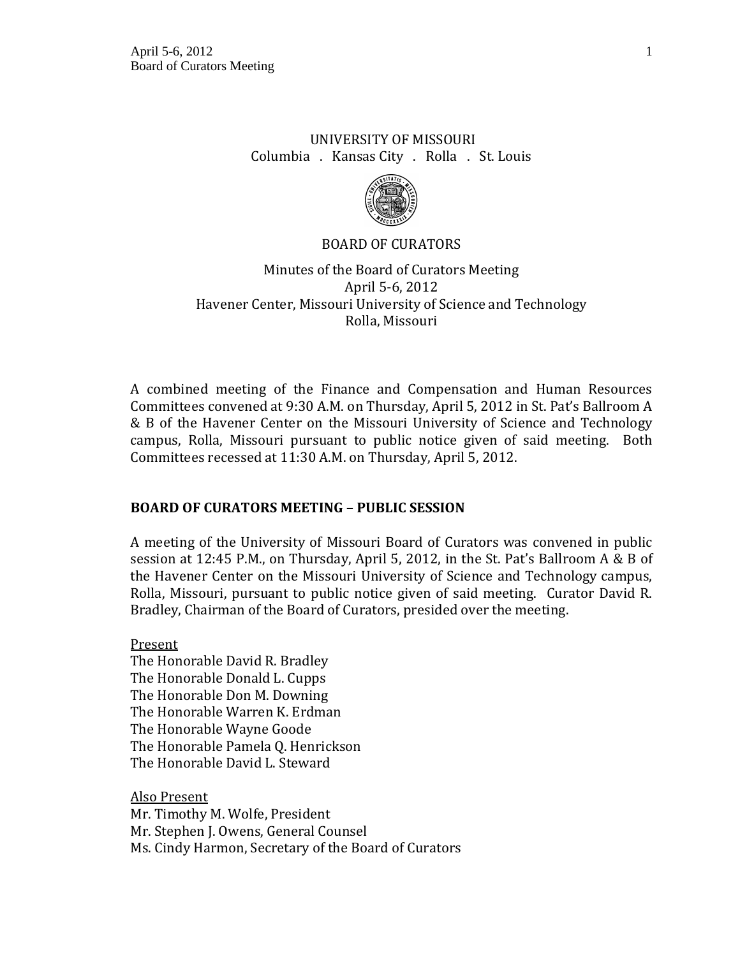# UNIVERSITY OF MISSOURI Columbia . Kansas City . Rolla . St. Louis



# BOARD OF CURATORS

# Minutes of the Board of Curators Meeting April 5-6, 2012 Havener Center, Missouri University of Science and Technology Rolla, Missouri

A combined meeting of the Finance and Compensation and Human Resources Committees convened at 9:30 A.M. on Thursday, April 5, 2012 in St. Pat's Ballroom A & B of the Havener Center on the Missouri University of Science and Technology campus, Rolla, Missouri pursuant to public notice given of said meeting. Both Committees recessed at 11:30 A.M. on Thursday, April 5, 2012.

# **BOARD OF CURATORS MEETING – PUBLIC SESSION**

A meeting of the University of Missouri Board of Curators was convened in public session at 12:45 P.M., on Thursday, April 5, 2012, in the St. Pat's Ballroom A & B of the Havener Center on the Missouri University of Science and Technology campus, Rolla, Missouri, pursuant to public notice given of said meeting. Curator David R. Bradley, Chairman of the Board of Curators, presided over the meeting.

Present The Honorable David R. Bradley The Honorable Donald L. Cupps The Honorable Don M. Downing The Honorable Warren K. Erdman The Honorable Wayne Goode The Honorable Pamela Q. Henrickson The Honorable David L. Steward

Also Present Mr. Timothy M. Wolfe, President Mr. Stephen J. Owens, General Counsel Ms. Cindy Harmon, Secretary of the Board of Curators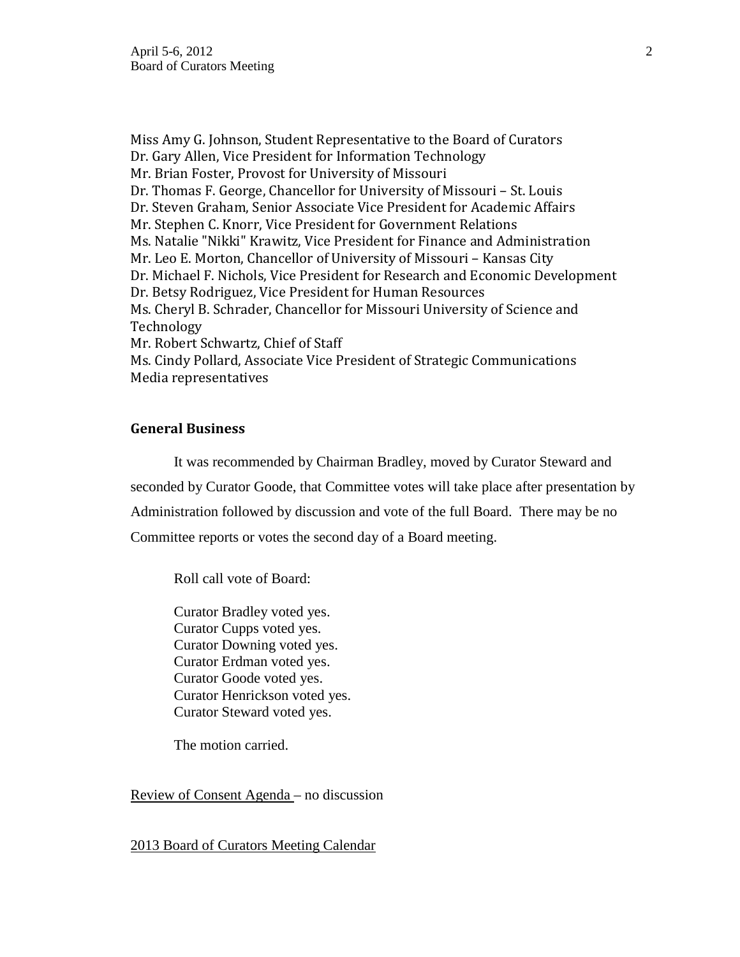Miss Amy G. Johnson, Student Representative to the Board of Curators Dr. Gary Allen, Vice President for Information Technology Mr. Brian Foster, Provost for University of Missouri Dr. Thomas F. George, Chancellor for University of Missouri – St. Louis Dr. Steven Graham, Senior Associate Vice President for Academic Affairs Mr. Stephen C. Knorr, Vice President for Government Relations Ms. Natalie "Nikki" Krawitz, Vice President for Finance and Administration Mr. Leo E. Morton, Chancellor of University of Missouri – Kansas City Dr. Michael F. Nichols, Vice President for Research and Economic Development Dr. Betsy Rodriguez, Vice President for Human Resources Ms. Cheryl B. Schrader, Chancellor for Missouri University of Science and Technology Mr. Robert Schwartz, Chief of Staff Ms. Cindy Pollard, Associate Vice President of Strategic Communications Media representatives

## **General Business**

It was recommended by Chairman Bradley, moved by Curator Steward and seconded by Curator Goode, that Committee votes will take place after presentation by Administration followed by discussion and vote of the full Board. There may be no Committee reports or votes the second day of a Board meeting.

Roll call vote of Board:

Curator Bradley voted yes. Curator Cupps voted yes. Curator Downing voted yes. Curator Erdman voted yes. Curator Goode voted yes. Curator Henrickson voted yes. Curator Steward voted yes.

The motion carried.

Review of Consent Agenda – no discussion

2013 Board of Curators Meeting Calendar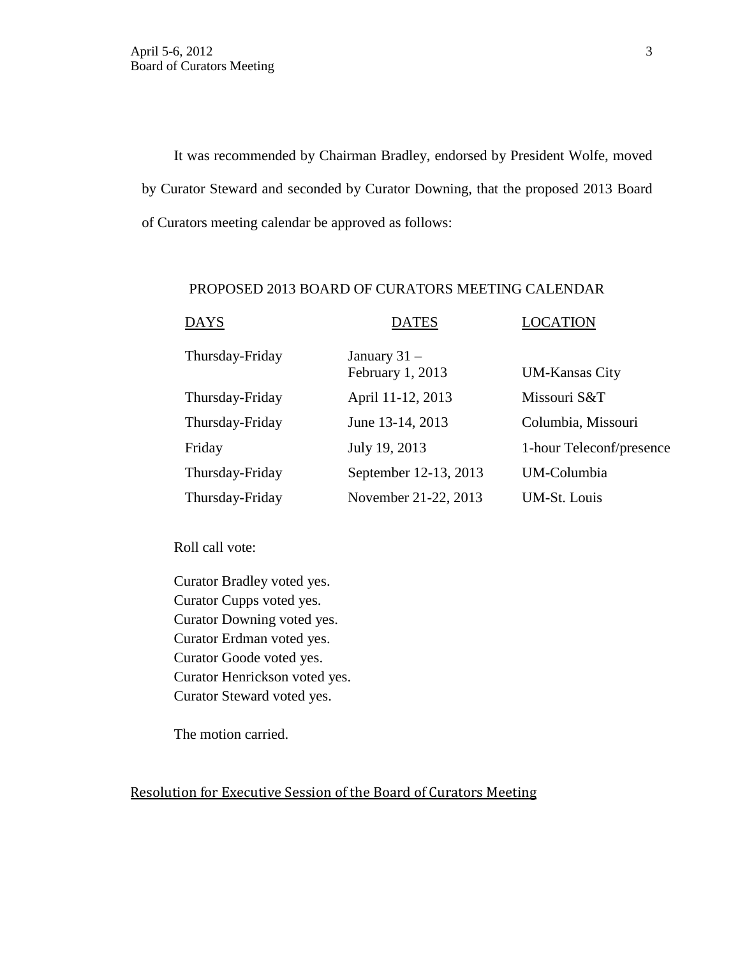It was recommended by Chairman Bradley, endorsed by President Wolfe, moved by Curator Steward and seconded by Curator Downing, that the proposed 2013 Board of Curators meeting calendar be approved as follows:

## PROPOSED 2013 BOARD OF CURATORS MEETING CALENDAR

| <b>DAYS</b>     | <b>DATES</b>                       | <b>LOCATION</b>          |  |
|-----------------|------------------------------------|--------------------------|--|
| Thursday-Friday | January $31 -$<br>February 1, 2013 | <b>UM-Kansas City</b>    |  |
| Thursday-Friday | April 11-12, 2013                  | Missouri S&T             |  |
| Thursday-Friday | June 13-14, 2013                   | Columbia, Missouri       |  |
| Friday          | July 19, 2013                      | 1-hour Teleconf/presence |  |
| Thursday-Friday | September 12-13, 2013              | UM-Columbia              |  |
| Thursday-Friday | November 21-22, 2013               | UM-St. Louis             |  |

Roll call vote:

Curator Bradley voted yes. Curator Cupps voted yes. Curator Downing voted yes. Curator Erdman voted yes. Curator Goode voted yes. Curator Henrickson voted yes. Curator Steward voted yes.

The motion carried.

Resolution for Executive Session of the Board of Curators Meeting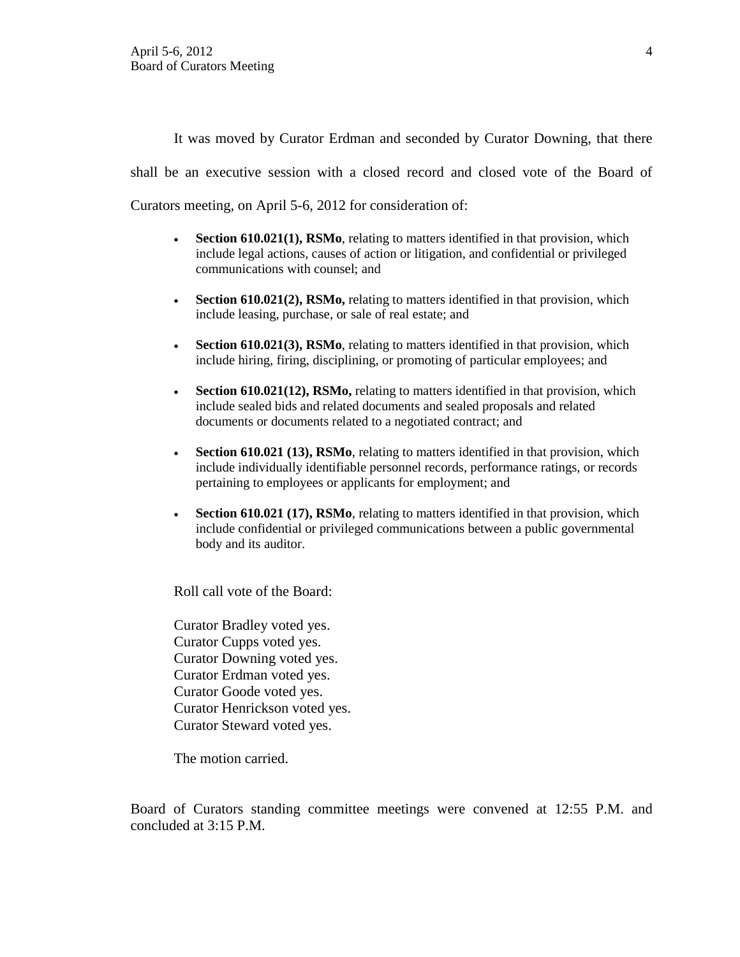It was moved by Curator Erdman and seconded by Curator Downing, that there shall be an executive session with a closed record and closed vote of the Board of Curators meeting, on April 5-6, 2012 for consideration of:

- **Section 610.021(1), RSMo**, relating to matters identified in that provision, which include legal actions, causes of action or litigation, and confidential or privileged communications with counsel; and
- **Section 610.021(2), RSMo,** relating to matters identified in that provision, which include leasing, purchase, or sale of real estate; and
- **Section 610.021(3), RSMo**, relating to matters identified in that provision, which include hiring, firing, disciplining, or promoting of particular employees; and
- **Section 610.021(12), RSMo,** relating to matters identified in that provision, which include sealed bids and related documents and sealed proposals and related documents or documents related to a negotiated contract; and
- **Section 610.021 (13), RSMo**, relating to matters identified in that provision, which include individually identifiable personnel records, performance ratings, or records pertaining to employees or applicants for employment; and
- **Section 610.021 (17), RSMo**, relating to matters identified in that provision, which include confidential or privileged communications between a public governmental body and its auditor.

Roll call vote of the Board:

Curator Bradley voted yes. Curator Cupps voted yes. Curator Downing voted yes. Curator Erdman voted yes. Curator Goode voted yes. Curator Henrickson voted yes. Curator Steward voted yes.

The motion carried.

Board of Curators standing committee meetings were convened at 12:55 P.M. and concluded at 3:15 P.M.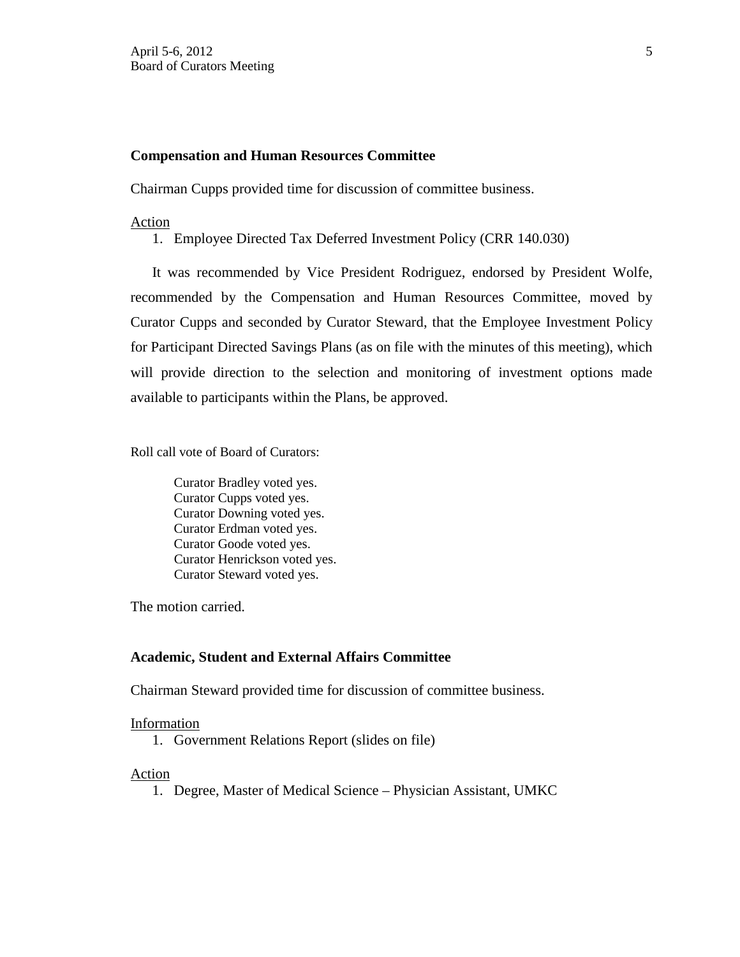## **Compensation and Human Resources Committee**

Chairman Cupps provided time for discussion of committee business.

## Action

1. Employee Directed Tax Deferred Investment Policy (CRR 140.030)

It was recommended by Vice President Rodriguez, endorsed by President Wolfe, recommended by the Compensation and Human Resources Committee, moved by Curator Cupps and seconded by Curator Steward, that the Employee Investment Policy for Participant Directed Savings Plans (as on file with the minutes of this meeting), which will provide direction to the selection and monitoring of investment options made available to participants within the Plans, be approved.

Roll call vote of Board of Curators:

Curator Bradley voted yes. Curator Cupps voted yes. Curator Downing voted yes. Curator Erdman voted yes. Curator Goode voted yes. Curator Henrickson voted yes. Curator Steward voted yes.

The motion carried.

## **Academic, Student and External Affairs Committee**

Chairman Steward provided time for discussion of committee business.

### Information

1. Government Relations Report (slides on file)

### Action

1. Degree, Master of Medical Science – Physician Assistant, UMKC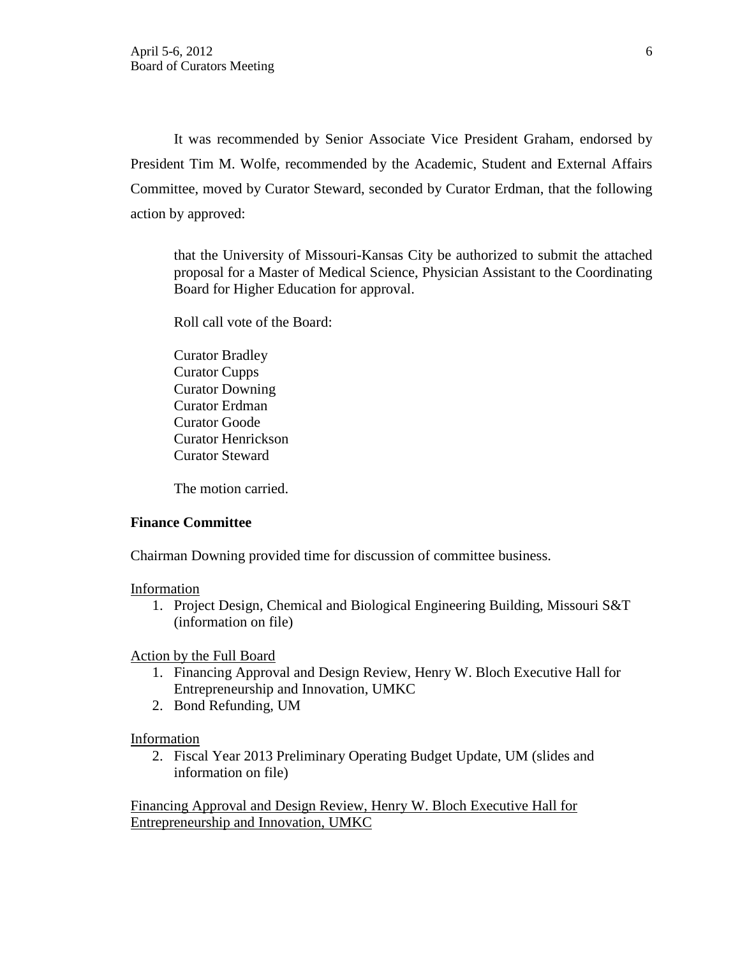It was recommended by Senior Associate Vice President Graham, endorsed by President Tim M. Wolfe, recommended by the Academic, Student and External Affairs Committee, moved by Curator Steward, seconded by Curator Erdman, that the following action by approved:

that the University of Missouri-Kansas City be authorized to submit the attached proposal for a Master of Medical Science, Physician Assistant to the Coordinating Board for Higher Education for approval.

Roll call vote of the Board:

Curator Bradley Curator Cupps Curator Downing Curator Erdman Curator Goode Curator Henrickson Curator Steward

The motion carried.

### **Finance Committee**

Chairman Downing provided time for discussion of committee business.

#### Information

1. Project Design, Chemical and Biological Engineering Building, Missouri S&T (information on file)

### Action by the Full Board

- 1. Financing Approval and Design Review, Henry W. Bloch Executive Hall for Entrepreneurship and Innovation, UMKC
- 2. Bond Refunding, UM

### Information

2. Fiscal Year 2013 Preliminary Operating Budget Update, UM (slides and information on file)

Financing Approval and Design Review, Henry W. Bloch Executive Hall for Entrepreneurship and Innovation, UMKC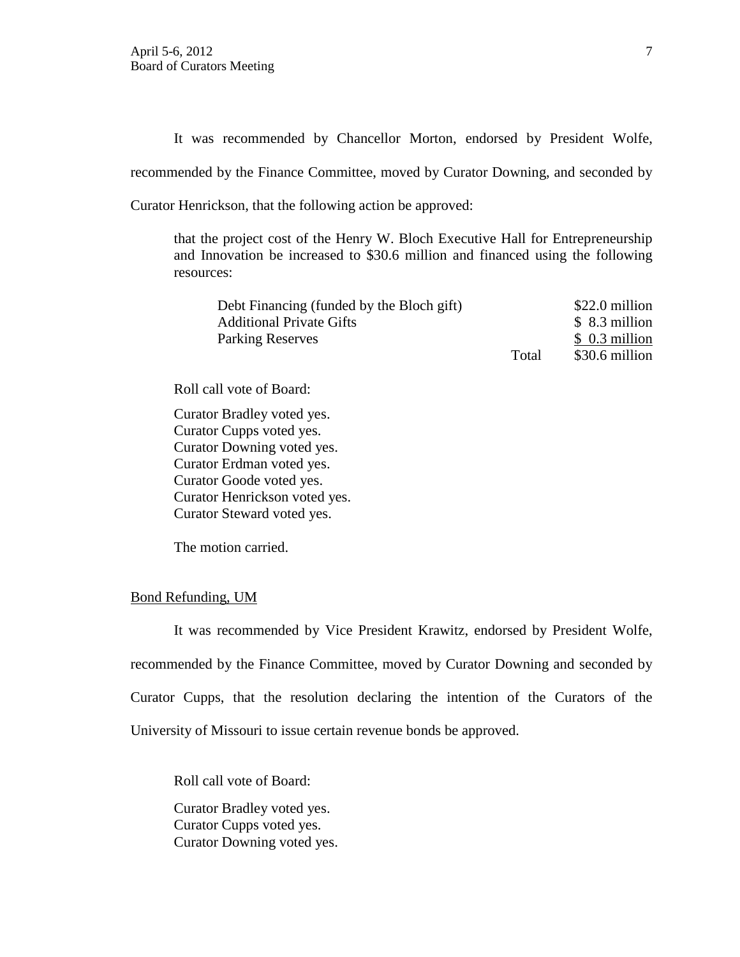It was recommended by Chancellor Morton, endorsed by President Wolfe,

recommended by the Finance Committee, moved by Curator Downing, and seconded by

Curator Henrickson, that the following action be approved:

that the project cost of the Henry W. Bloch Executive Hall for Entrepreneurship and Innovation be increased to \$30.6 million and financed using the following resources:

| Debt Financing (funded by the Bloch gift) | \$22.0 million |                |
|-------------------------------------------|----------------|----------------|
| <b>Additional Private Gifts</b>           |                | $$8.3$ million |
| <b>Parking Reserves</b>                   |                | $$0.3$ million |
|                                           | Total          | \$30.6 million |

Roll call vote of Board:

Curator Bradley voted yes. Curator Cupps voted yes. Curator Downing voted yes. Curator Erdman voted yes. Curator Goode voted yes. Curator Henrickson voted yes. Curator Steward voted yes.

The motion carried.

## Bond Refunding, UM

It was recommended by Vice President Krawitz, endorsed by President Wolfe, recommended by the Finance Committee, moved by Curator Downing and seconded by Curator Cupps, that the resolution declaring the intention of the Curators of the University of Missouri to issue certain revenue bonds be approved.

Roll call vote of Board: Curator Bradley voted yes.

Curator Cupps voted yes. Curator Downing voted yes.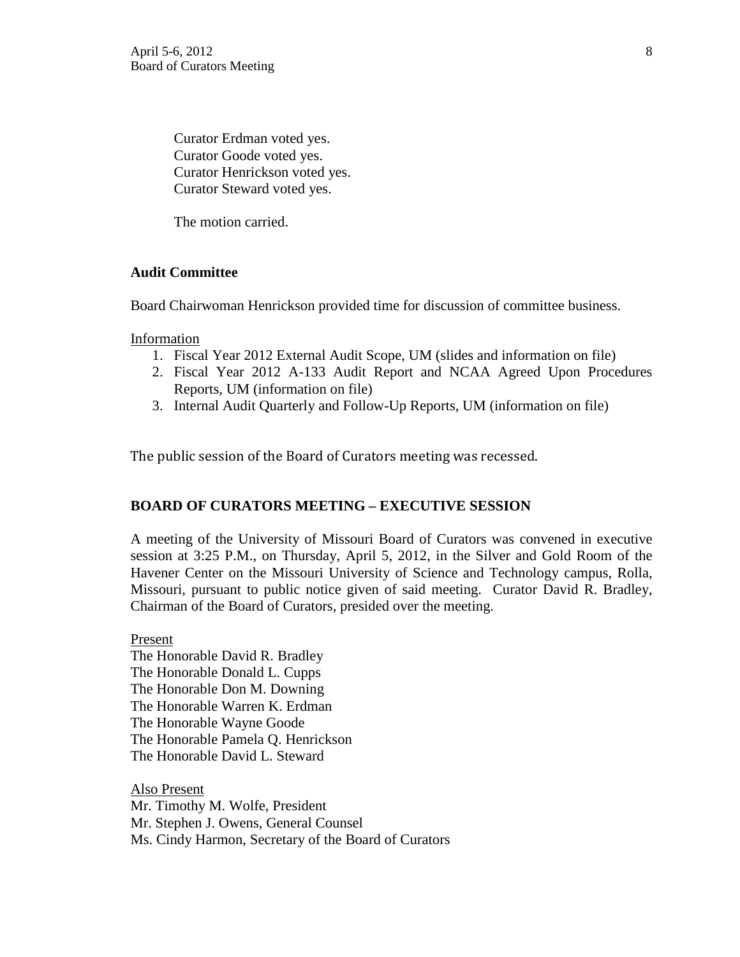Curator Erdman voted yes. Curator Goode voted yes. Curator Henrickson voted yes. Curator Steward voted yes.

The motion carried.

## **Audit Committee**

Board Chairwoman Henrickson provided time for discussion of committee business.

Information

- 1. Fiscal Year 2012 External Audit Scope, UM (slides and information on file)
- 2. Fiscal Year 2012 A-133 Audit Report and NCAA Agreed Upon Procedures Reports, UM (information on file)
- 3. Internal Audit Quarterly and Follow-Up Reports, UM (information on file)

The public session of the Board of Curators meeting was recessed.

## **BOARD OF CURATORS MEETING – EXECUTIVE SESSION**

A meeting of the University of Missouri Board of Curators was convened in executive session at 3:25 P.M., on Thursday, April 5, 2012, in the Silver and Gold Room of the Havener Center on the Missouri University of Science and Technology campus, Rolla, Missouri, pursuant to public notice given of said meeting. Curator David R. Bradley, Chairman of the Board of Curators, presided over the meeting.

Present The Honorable David R. Bradley The Honorable Donald L. Cupps The Honorable Don M. Downing The Honorable Warren K. Erdman The Honorable Wayne Goode The Honorable Pamela Q. Henrickson The Honorable David L. Steward

Also Present Mr. Timothy M. Wolfe, President Mr. Stephen J. Owens, General Counsel Ms. Cindy Harmon, Secretary of the Board of Curators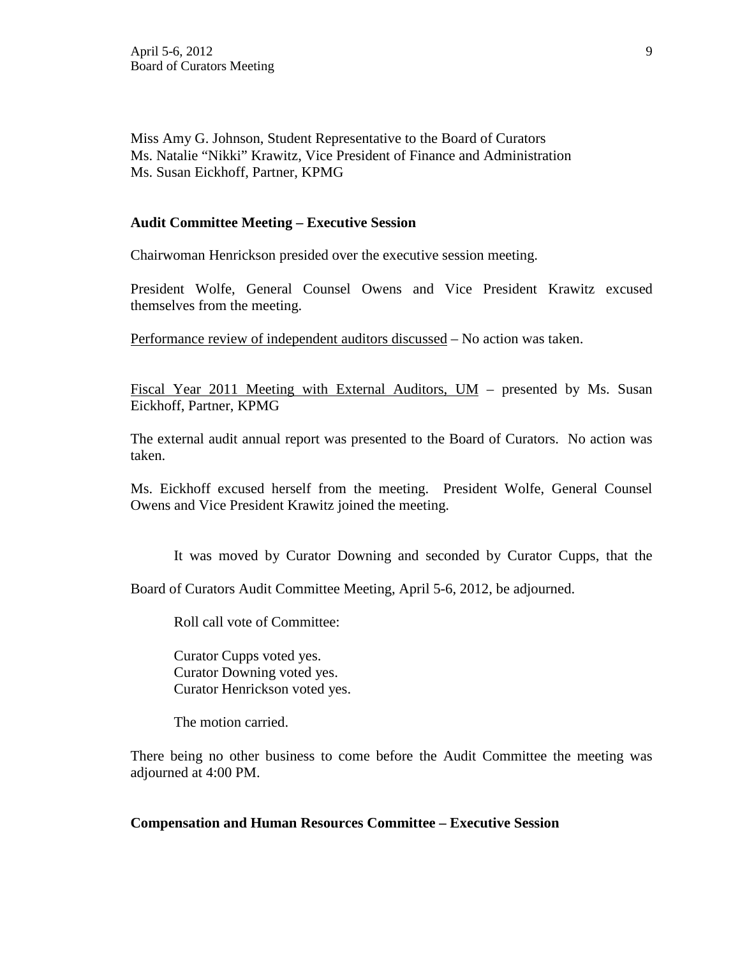Miss Amy G. Johnson, Student Representative to the Board of Curators Ms. Natalie "Nikki" Krawitz, Vice President of Finance and Administration Ms. Susan Eickhoff, Partner, KPMG

## **Audit Committee Meeting – Executive Session**

Chairwoman Henrickson presided over the executive session meeting.

President Wolfe, General Counsel Owens and Vice President Krawitz excused themselves from the meeting.

Performance review of independent auditors discussed – No action was taken.

Fiscal Year 2011 Meeting with External Auditors, UM – presented by Ms. Susan Eickhoff, Partner, KPMG

The external audit annual report was presented to the Board of Curators. No action was taken.

Ms. Eickhoff excused herself from the meeting. President Wolfe, General Counsel Owens and Vice President Krawitz joined the meeting.

It was moved by Curator Downing and seconded by Curator Cupps, that the

Board of Curators Audit Committee Meeting, April 5-6, 2012, be adjourned.

Roll call vote of Committee:

Curator Cupps voted yes. Curator Downing voted yes. Curator Henrickson voted yes.

The motion carried.

There being no other business to come before the Audit Committee the meeting was adjourned at 4:00 PM.

### **Compensation and Human Resources Committee – Executive Session**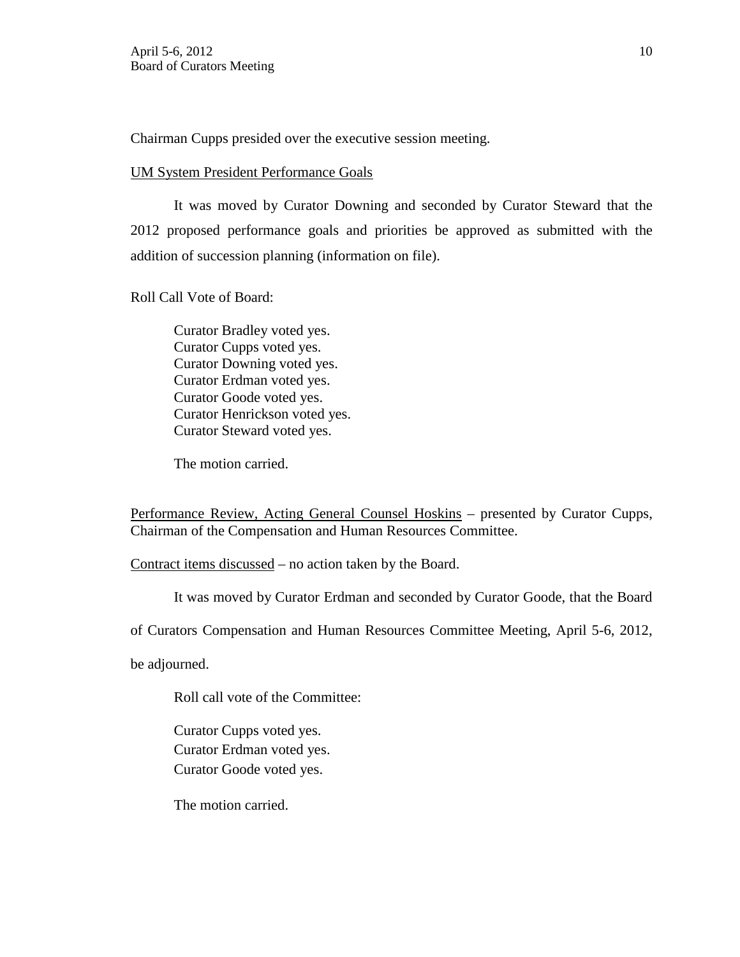Chairman Cupps presided over the executive session meeting.

## UM System President Performance Goals

It was moved by Curator Downing and seconded by Curator Steward that the 2012 proposed performance goals and priorities be approved as submitted with the addition of succession planning (information on file).

Roll Call Vote of Board:

Curator Bradley voted yes. Curator Cupps voted yes. Curator Downing voted yes. Curator Erdman voted yes. Curator Goode voted yes. Curator Henrickson voted yes. Curator Steward voted yes.

The motion carried.

Performance Review, Acting General Counsel Hoskins – presented by Curator Cupps, Chairman of the Compensation and Human Resources Committee.

Contract items discussed – no action taken by the Board.

It was moved by Curator Erdman and seconded by Curator Goode, that the Board

of Curators Compensation and Human Resources Committee Meeting, April 5-6, 2012,

be adjourned.

Roll call vote of the Committee:

Curator Cupps voted yes. Curator Erdman voted yes. Curator Goode voted yes.

The motion carried.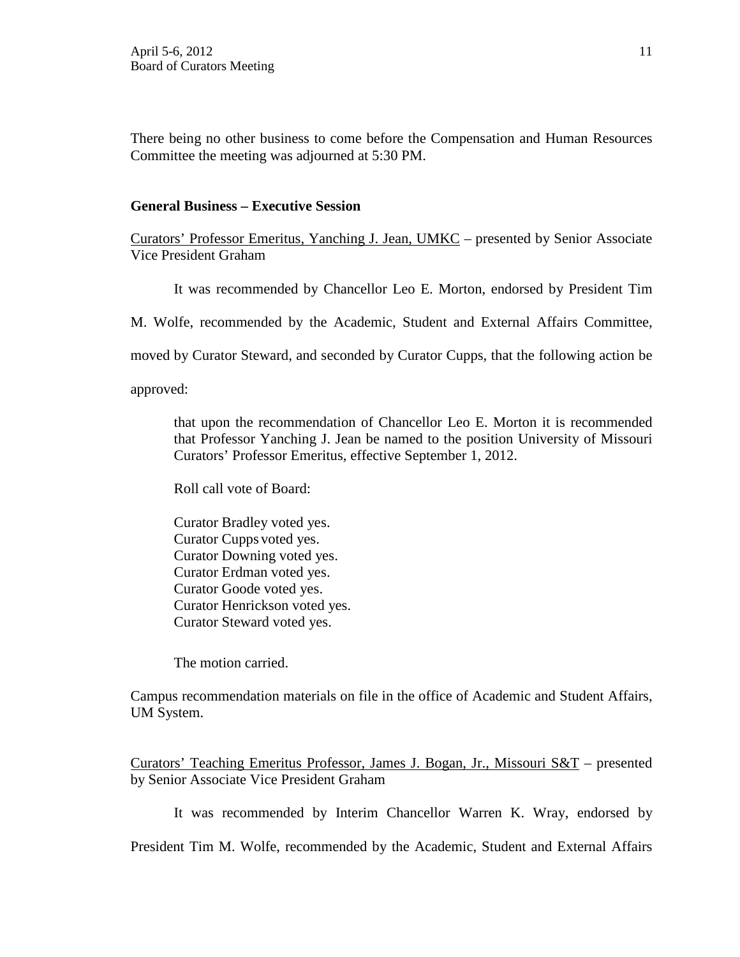There being no other business to come before the Compensation and Human Resources Committee the meeting was adjourned at 5:30 PM.

## **General Business – Executive Session**

Curators' Professor Emeritus, Yanching J. Jean, UMKC – presented by Senior Associate Vice President Graham

It was recommended by Chancellor Leo E. Morton, endorsed by President Tim

M. Wolfe, recommended by the Academic, Student and External Affairs Committee,

moved by Curator Steward, and seconded by Curator Cupps, that the following action be

approved:

that upon the recommendation of Chancellor Leo E. Morton it is recommended that Professor Yanching J. Jean be named to the position University of Missouri Curators' Professor Emeritus, effective September 1, 2012.

Roll call vote of Board:

Curator Bradley voted yes. Curator Cupps voted yes. Curator Downing voted yes. Curator Erdman voted yes. Curator Goode voted yes. Curator Henrickson voted yes. Curator Steward voted yes.

The motion carried.

Campus recommendation materials on file in the office of Academic and Student Affairs, UM System.

Curators' Teaching Emeritus Professor, James J. Bogan, Jr., Missouri S&T – presented by Senior Associate Vice President Graham

It was recommended by Interim Chancellor Warren K. Wray, endorsed by

President Tim M. Wolfe, recommended by the Academic, Student and External Affairs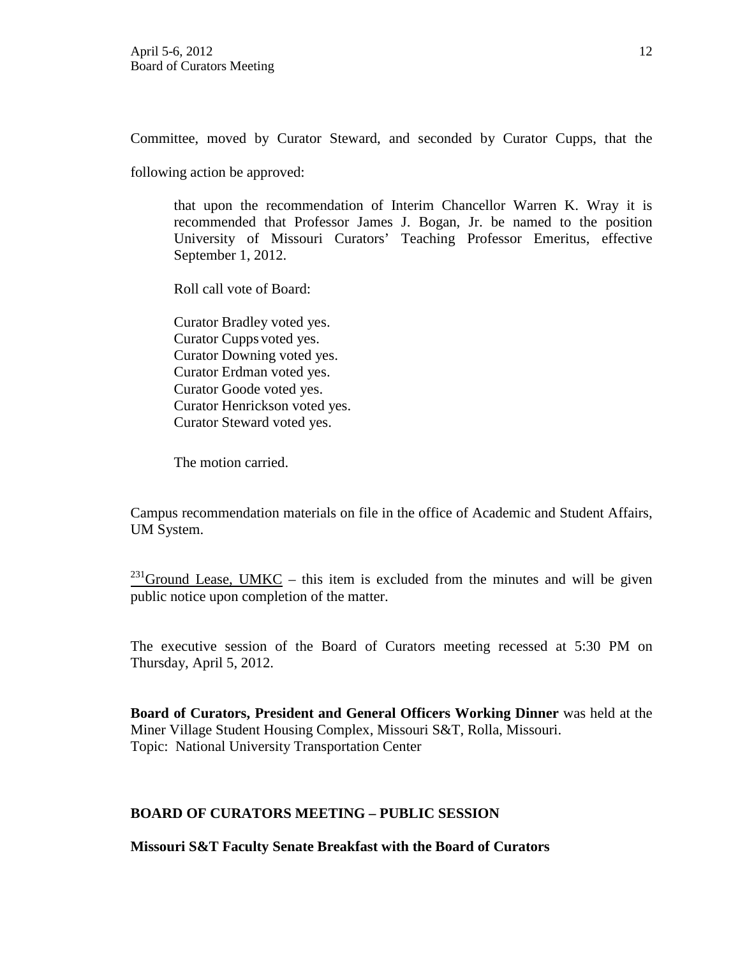Committee, moved by Curator Steward, and seconded by Curator Cupps, that the

following action be approved:

that upon the recommendation of Interim Chancellor Warren K. Wray it is recommended that Professor James J. Bogan, Jr. be named to the position University of Missouri Curators' Teaching Professor Emeritus, effective September 1, 2012.

Roll call vote of Board:

Curator Bradley voted yes. Curator Cupps voted yes. Curator Downing voted yes. Curator Erdman voted yes. Curator Goode voted yes. Curator Henrickson voted yes. Curator Steward voted yes.

The motion carried.

Campus recommendation materials on file in the office of Academic and Student Affairs, UM System.

<sup>231</sup>Ground Lease, UMKC – this item is excluded from the minutes and will be given public notice upon completion of the matter.

The executive session of the Board of Curators meeting recessed at 5:30 PM on Thursday, April 5, 2012.

**Board of Curators, President and General Officers Working Dinner** was held at the Miner Village Student Housing Complex, Missouri S&T, Rolla, Missouri. Topic: National University Transportation Center

## **BOARD OF CURATORS MEETING – PUBLIC SESSION**

**Missouri S&T Faculty Senate Breakfast with the Board of Curators**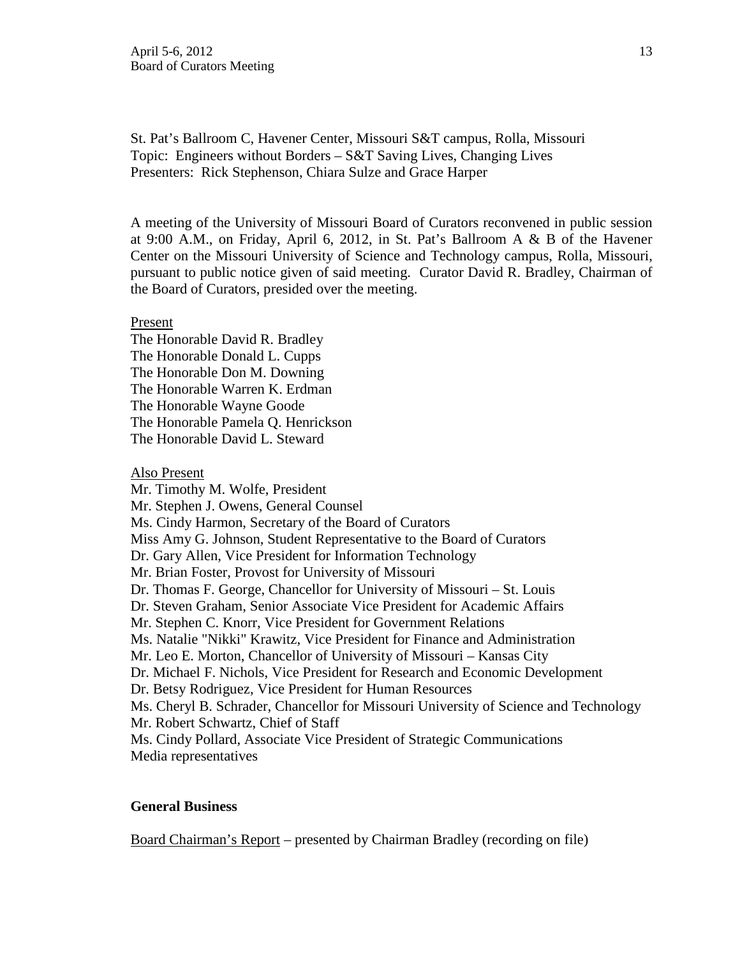St. Pat's Ballroom C, Havener Center, Missouri S&T campus, Rolla, Missouri Topic: Engineers without Borders – S&T Saving Lives, Changing Lives Presenters: Rick Stephenson, Chiara Sulze and Grace Harper

A meeting of the University of Missouri Board of Curators reconvened in public session at 9:00 A.M., on Friday, April 6, 2012, in St. Pat's Ballroom A & B of the Havener Center on the Missouri University of Science and Technology campus, Rolla, Missouri, pursuant to public notice given of said meeting. Curator David R. Bradley, Chairman of the Board of Curators, presided over the meeting.

#### Present

The Honorable David R. Bradley The Honorable Donald L. Cupps The Honorable Don M. Downing The Honorable Warren K. Erdman The Honorable Wayne Goode The Honorable Pamela Q. Henrickson The Honorable David L. Steward

Also Present

Mr. Timothy M. Wolfe, President Mr. Stephen J. Owens, General Counsel Ms. Cindy Harmon, Secretary of the Board of Curators Miss Amy G. Johnson, Student Representative to the Board of Curators Dr. Gary Allen, Vice President for Information Technology Mr. Brian Foster, Provost for University of Missouri Dr. Thomas F. George, Chancellor for University of Missouri – St. Louis Dr. Steven Graham, Senior Associate Vice President for Academic Affairs Mr. Stephen C. Knorr, Vice President for Government Relations Ms. Natalie "Nikki" Krawitz, Vice President for Finance and Administration Mr. Leo E. Morton, Chancellor of University of Missouri – Kansas City Dr. Michael F. Nichols, Vice President for Research and Economic Development Dr. Betsy Rodriguez, Vice President for Human Resources Ms. Cheryl B. Schrader, Chancellor for Missouri University of Science and Technology Mr. Robert Schwartz, Chief of Staff Ms. Cindy Pollard, Associate Vice President of Strategic Communications Media representatives

### **General Business**

Board Chairman's Report – presented by Chairman Bradley (recording on file)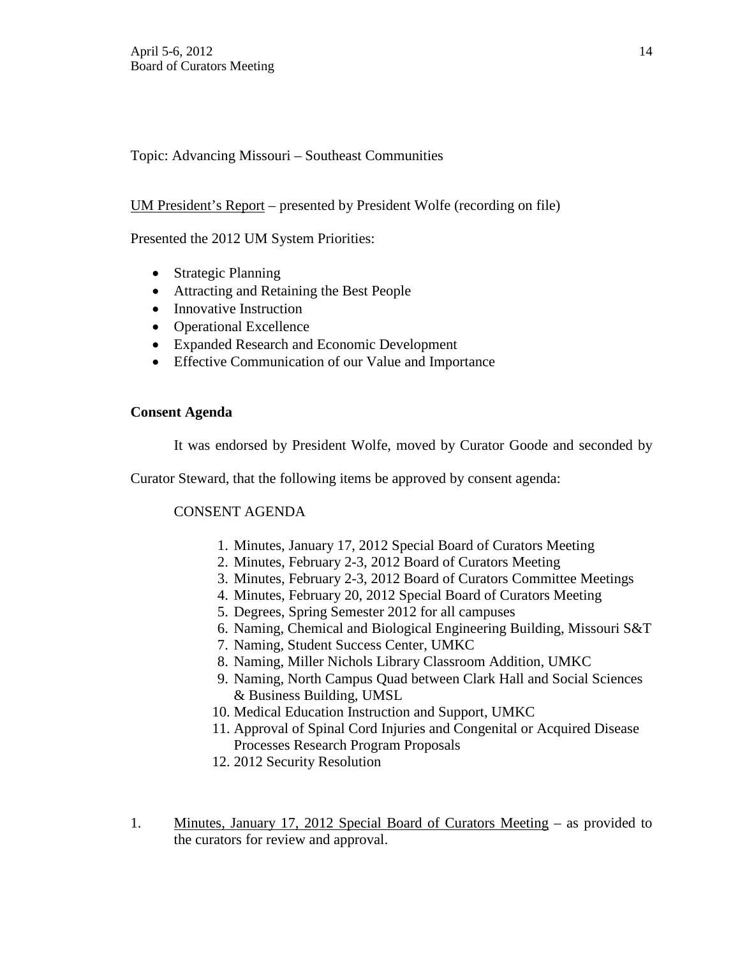Topic: Advancing Missouri – Southeast Communities

# UM President's Report – presented by President Wolfe (recording on file)

Presented the 2012 UM System Priorities:

- Strategic Planning
- Attracting and Retaining the Best People
- Innovative Instruction
- Operational Excellence
- Expanded Research and Economic Development
- Effective Communication of our Value and Importance

# **Consent Agenda**

It was endorsed by President Wolfe, moved by Curator Goode and seconded by

Curator Steward, that the following items be approved by consent agenda:

# CONSENT AGENDA

- 1. Minutes, January 17, 2012 Special Board of Curators Meeting
- 2. Minutes, February 2-3, 2012 Board of Curators Meeting
- 3. Minutes, February 2-3, 2012 Board of Curators Committee Meetings
- 4. Minutes, February 20, 2012 Special Board of Curators Meeting
- 5. Degrees, Spring Semester 2012 for all campuses
- 6. Naming, Chemical and Biological Engineering Building, Missouri S&T
- 7. Naming, Student Success Center, UMKC
- 8. Naming, Miller Nichols Library Classroom Addition, UMKC
- 9. Naming, North Campus Quad between Clark Hall and Social Sciences & Business Building, UMSL
- 10. Medical Education Instruction and Support, UMKC
- 11. Approval of Spinal Cord Injuries and Congenital or Acquired Disease Processes Research Program Proposals
- 12. 2012 Security Resolution
- 1. Minutes, January 17, 2012 Special Board of Curators Meeting as provided to the curators for review and approval.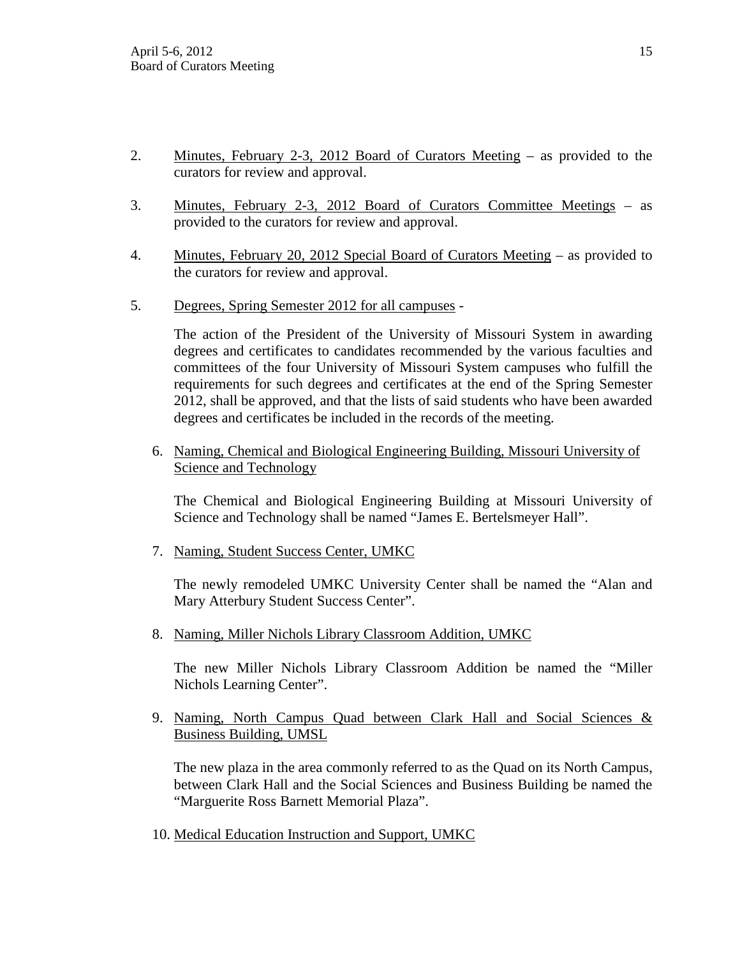- 2. Minutes, February 2-3, 2012 Board of Curators Meeting as provided to the curators for review and approval.
- 3. Minutes, February 2-3, 2012 Board of Curators Committee Meetings as provided to the curators for review and approval.
- 4. Minutes, February 20, 2012 Special Board of Curators Meeting as provided to the curators for review and approval.
- 5. Degrees, Spring Semester 2012 for all campuses -

The action of the President of the University of Missouri System in awarding degrees and certificates to candidates recommended by the various faculties and committees of the four University of Missouri System campuses who fulfill the requirements for such degrees and certificates at the end of the Spring Semester 2012, shall be approved, and that the lists of said students who have been awarded degrees and certificates be included in the records of the meeting.

6. Naming, Chemical and Biological Engineering Building, Missouri University of Science and Technology

The Chemical and Biological Engineering Building at Missouri University of Science and Technology shall be named "James E. Bertelsmeyer Hall".

7. Naming, Student Success Center, UMKC

The newly remodeled UMKC University Center shall be named the "Alan and Mary Atterbury Student Success Center".

8. Naming, Miller Nichols Library Classroom Addition, UMKC

The new Miller Nichols Library Classroom Addition be named the "Miller Nichols Learning Center".

9. Naming, North Campus Quad between Clark Hall and Social Sciences & Business Building, UMSL

The new plaza in the area commonly referred to as the Quad on its North Campus, between Clark Hall and the Social Sciences and Business Building be named the "Marguerite Ross Barnett Memorial Plaza".

10. Medical Education Instruction and Support, UMKC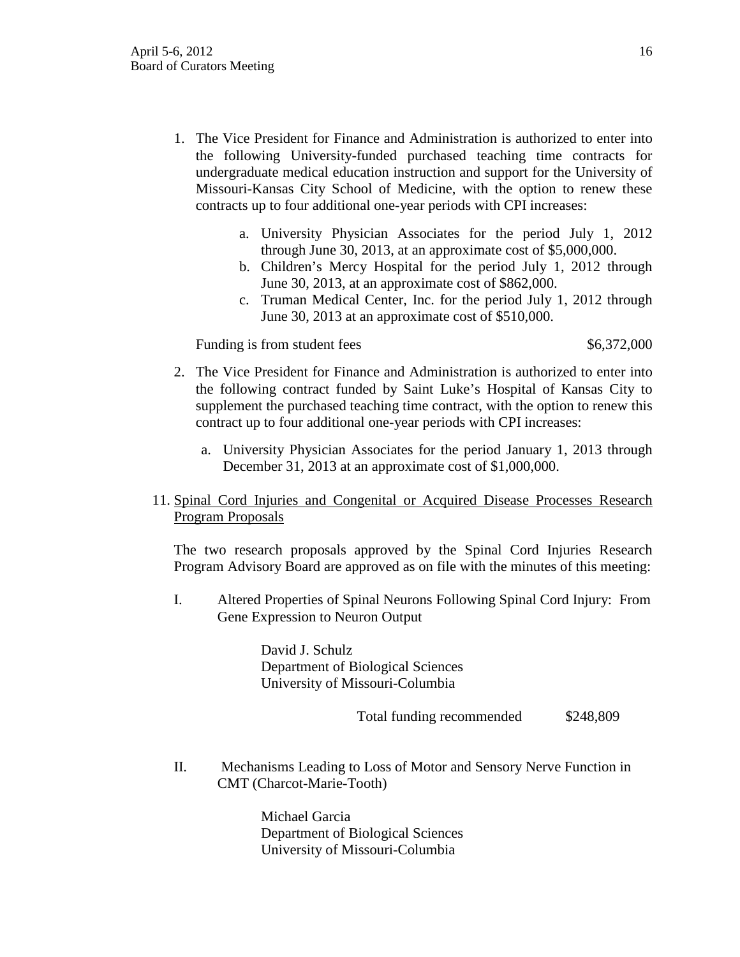- 1. The Vice President for Finance and Administration is authorized to enter into the following University-funded purchased teaching time contracts for undergraduate medical education instruction and support for the University of Missouri-Kansas City School of Medicine, with the option to renew these contracts up to four additional one-year periods with CPI increases:
	- a. University Physician Associates for the period July 1, 2012 through June 30, 2013, at an approximate cost of \$5,000,000.
	- b. Children's Mercy Hospital for the period July 1, 2012 through June 30, 2013, at an approximate cost of \$862,000.
	- c. Truman Medical Center, Inc. for the period July 1, 2012 through June 30, 2013 at an approximate cost of \$510,000.

Funding is from student fees \$6,372,000

- 2. The Vice President for Finance and Administration is authorized to enter into the following contract funded by Saint Luke's Hospital of Kansas City to supplement the purchased teaching time contract, with the option to renew this contract up to four additional one-year periods with CPI increases:
	- a. University Physician Associates for the period January 1, 2013 through December 31, 2013 at an approximate cost of \$1,000,000.

# 11. Spinal Cord Injuries and Congenital or Acquired Disease Processes Research Program Proposals

The two research proposals approved by the Spinal Cord Injuries Research Program Advisory Board are approved as on file with the minutes of this meeting:

I. Altered Properties of Spinal Neurons Following Spinal Cord Injury: From Gene Expression to Neuron Output

> David J. Schulz Department of Biological Sciences University of Missouri-Columbia

> > Total funding recommended \$248,809

II. Mechanisms Leading to Loss of Motor and Sensory Nerve Function in CMT (Charcot-Marie-Tooth)

> Michael Garcia Department of Biological Sciences University of Missouri-Columbia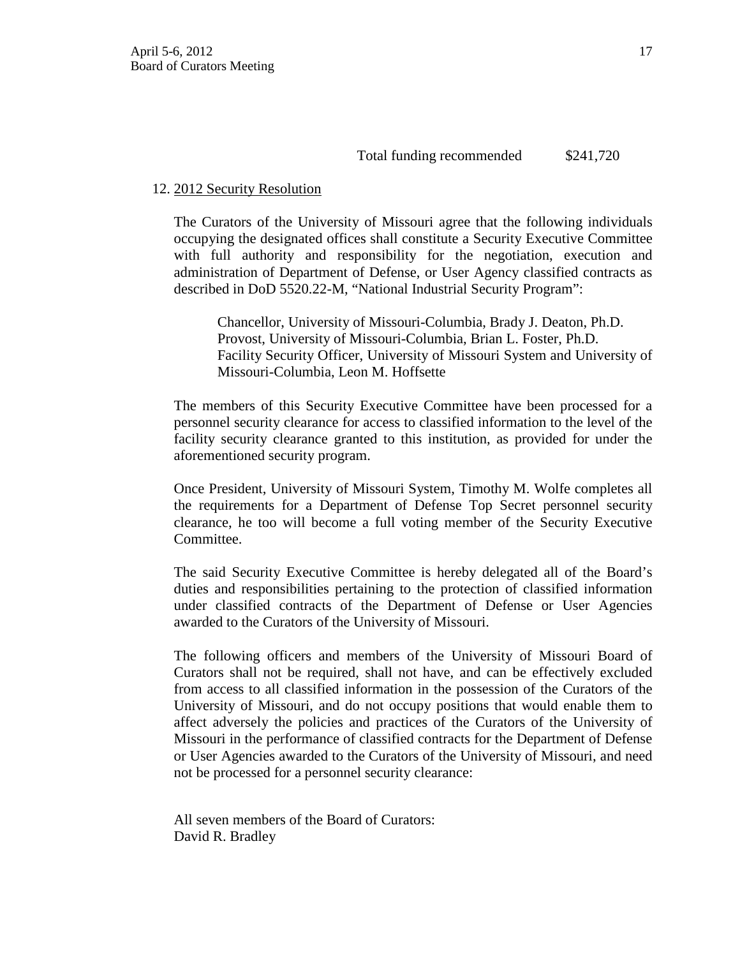# 12. 2012 Security Resolution

The Curators of the University of Missouri agree that the following individuals occupying the designated offices shall constitute a Security Executive Committee with full authority and responsibility for the negotiation, execution and administration of Department of Defense, or User Agency classified contracts as described in DoD 5520.22-M, "National Industrial Security Program":

Chancellor, University of Missouri-Columbia, Brady J. Deaton, Ph.D. Provost, University of Missouri-Columbia, Brian L. Foster, Ph.D. Facility Security Officer, University of Missouri System and University of Missouri-Columbia, Leon M. Hoffsette

The members of this Security Executive Committee have been processed for a personnel security clearance for access to classified information to the level of the facility security clearance granted to this institution, as provided for under the aforementioned security program.

Once President, University of Missouri System, Timothy M. Wolfe completes all the requirements for a Department of Defense Top Secret personnel security clearance, he too will become a full voting member of the Security Executive Committee.

The said Security Executive Committee is hereby delegated all of the Board's duties and responsibilities pertaining to the protection of classified information under classified contracts of the Department of Defense or User Agencies awarded to the Curators of the University of Missouri.

The following officers and members of the University of Missouri Board of Curators shall not be required, shall not have, and can be effectively excluded from access to all classified information in the possession of the Curators of the University of Missouri, and do not occupy positions that would enable them to affect adversely the policies and practices of the Curators of the University of Missouri in the performance of classified contracts for the Department of Defense or User Agencies awarded to the Curators of the University of Missouri, and need not be processed for a personnel security clearance:

All seven members of the Board of Curators: [David R. Bradley](http://www.umsystem.edu/curators/members/bradleyd)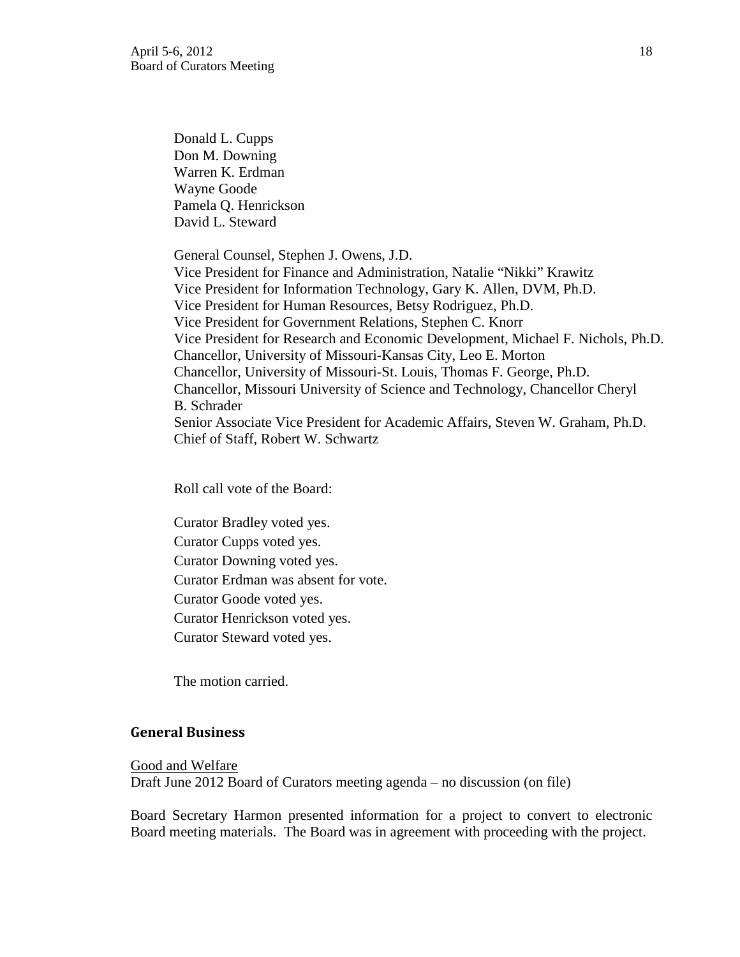[Donald L. Cupps](http://www.umsystem.edu/curators/members/cuppsd) [Don M. Downing](http://www.umsystem.edu/curators/members/downingd) [Warren K. Erdman](http://www.umsystem.edu/curators/members/erdmanw) [Wayne Goode](http://www.umsystem.edu/curators/members/goodew) Pamela Q. Henrickson [David L. Steward](http://www.umsystem.edu/curators/members/stewardd)

General Counsel, Stephen J. Owens, J.D. Vice President for Finance and Administration, Natalie "Nikki" Krawitz Vice President for Information Technology, Gary K. Allen, DVM, Ph.D. Vice President for Human Resources, Betsy Rodriguez, Ph.D. Vice President for Government Relations, Stephen C. Knorr Vice President for Research and Economic Development, Michael F. Nichols, Ph.D. Chancellor, University of Missouri-Kansas City, Leo E. Morton Chancellor, University of Missouri-St. Louis, Thomas F. George, Ph.D. Chancellor, Missouri University of Science and Technology, Chancellor Cheryl B. Schrader Senior Associate Vice President for Academic Affairs, Steven W. Graham, Ph.D. Chief of Staff, Robert W. Schwartz

Roll call vote of the Board:

Curator Bradley voted yes. Curator Cupps voted yes. Curator Downing voted yes. Curator Erdman was absent for vote. Curator Goode voted yes. Curator Henrickson voted yes. Curator Steward voted yes.

The motion carried.

## **General Business**

#### Good and Welfare

Draft June 2012 Board of Curators meeting agenda – no discussion (on file)

Board Secretary Harmon presented information for a project to convert to electronic Board meeting materials. The Board was in agreement with proceeding with the project.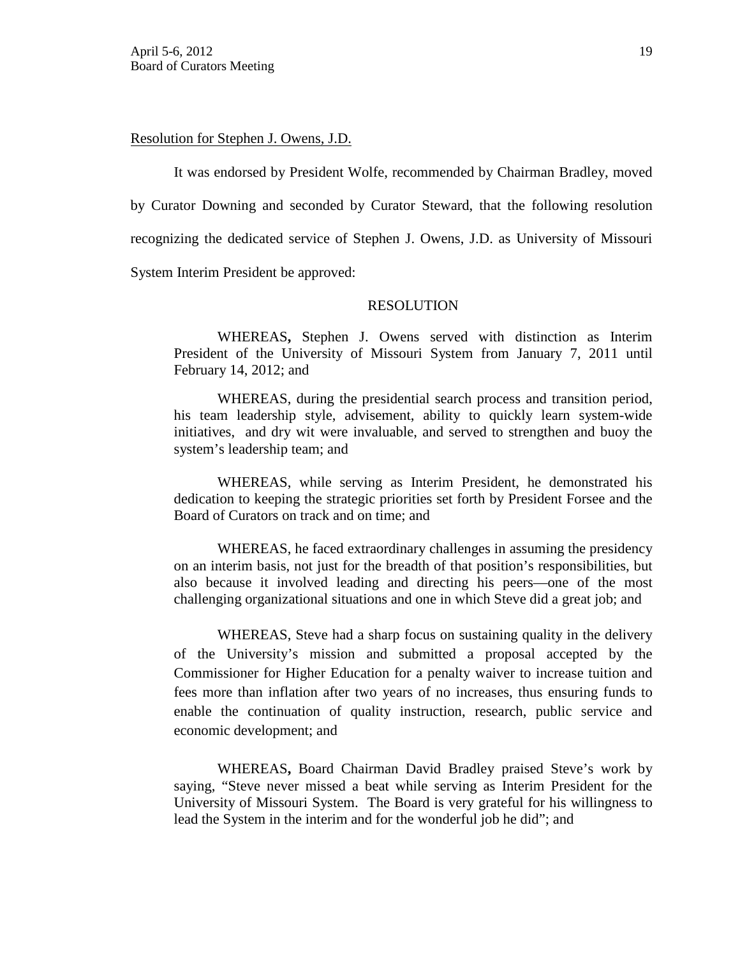### Resolution for Stephen J. Owens, J.D.

It was endorsed by President Wolfe, recommended by Chairman Bradley, moved by Curator Downing and seconded by Curator Steward, that the following resolution recognizing the dedicated service of Stephen J. Owens, J.D. as University of Missouri System Interim President be approved:

### RESOLUTION

 WHEREAS**,** Stephen J. Owens served with distinction as Interim President of the University of Missouri System from January 7, 2011 until February 14, 2012; and

WHEREAS, during the presidential search process and transition period, his team leadership style, advisement, ability to quickly learn system-wide initiatives, and dry wit were invaluable, and served to strengthen and buoy the system's leadership team; and

WHEREAS, while serving as Interim President, he demonstrated his dedication to keeping the strategic priorities set forth by President Forsee and the Board of Curators on track and on time; and

WHEREAS, he faced extraordinary challenges in assuming the presidency on an interim basis, not just for the breadth of that position's responsibilities, but also because it involved leading and directing his peers—one of the most challenging organizational situations and one in which Steve did a great job; and

WHEREAS, Steve had a sharp focus on sustaining quality in the delivery of the University's mission and submitted a proposal accepted by the Commissioner for Higher Education for a penalty waiver to increase tuition and fees more than inflation after two years of no increases, thus ensuring funds to enable the continuation of quality instruction, research, public service and economic development; and

WHEREAS**,** Board Chairman David Bradley praised Steve's work by saying, "Steve never missed a beat while serving as Interim President for the University of Missouri System. The Board is very grateful for his willingness to lead the System in the interim and for the wonderful job he did"; and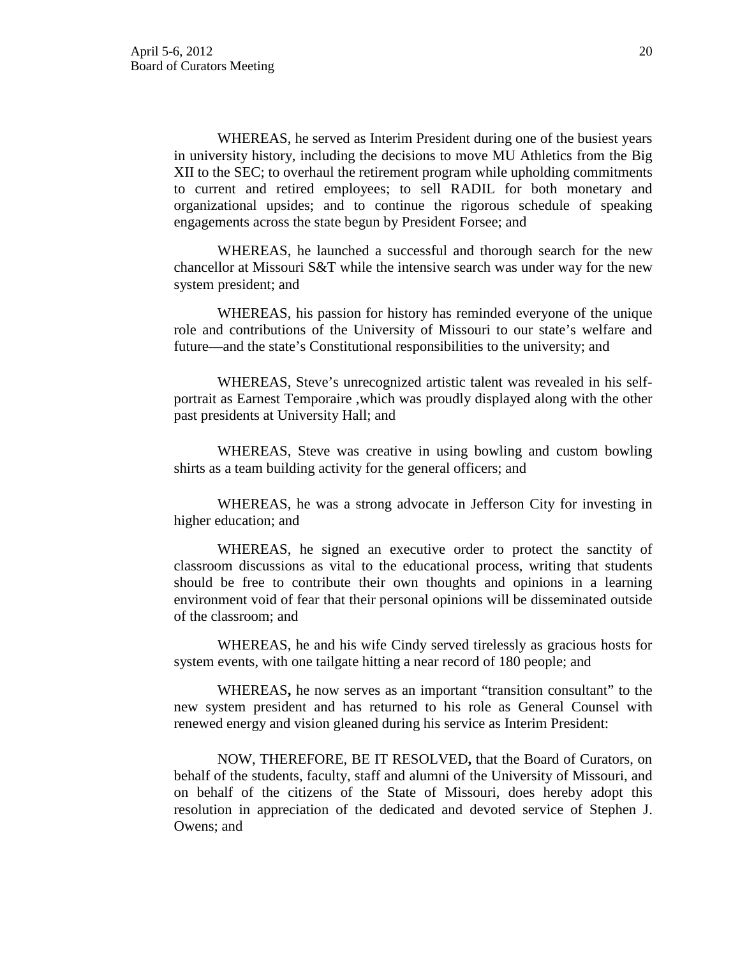WHEREAS, he served as Interim President during one of the busiest years in university history, including the decisions to move MU Athletics from the Big XII to the SEC; to overhaul the retirement program while upholding commitments to current and retired employees; to sell RADIL for both monetary and organizational upsides; and to continue the rigorous schedule of speaking engagements across the state begun by President Forsee; and

WHEREAS, he launched a successful and thorough search for the new chancellor at Missouri S&T while the intensive search was under way for the new system president; and

WHEREAS, his passion for history has reminded everyone of the unique role and contributions of the University of Missouri to our state's welfare and future—and the state's Constitutional responsibilities to the university; and

WHEREAS, Steve's unrecognized artistic talent was revealed in his selfportrait as Earnest Temporaire ,which was proudly displayed along with the other past presidents at University Hall; and

WHEREAS, Steve was creative in using bowling and custom bowling shirts as a team building activity for the general officers; and

WHEREAS, he was a strong advocate in Jefferson City for investing in higher education; and

WHEREAS, he signed an executive order to protect the sanctity of classroom discussions as vital to the educational process, writing that students should be free to contribute their own thoughts and opinions in a learning environment void of fear that their personal opinions will be disseminated outside of the classroom; and

WHEREAS, he and his wife Cindy served tirelessly as gracious hosts for system events, with one tailgate hitting a near record of 180 people; and

WHEREAS**,** he now serves as an important "transition consultant" to the new system president and has returned to his role as General Counsel with renewed energy and vision gleaned during his service as Interim President:

NOW, THEREFORE, BE IT RESOLVED**,** that the Board of Curators, on behalf of the students, faculty, staff and alumni of the University of Missouri, and on behalf of the citizens of the State of Missouri, does hereby adopt this resolution in appreciation of the dedicated and devoted service of Stephen J. Owens; and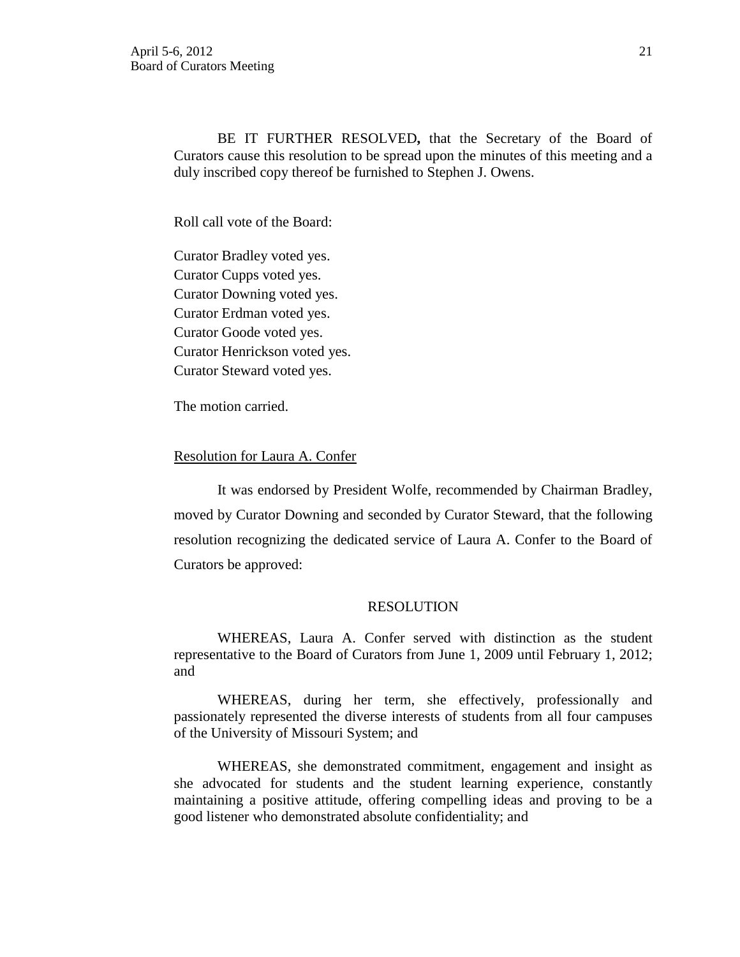BE IT FURTHER RESOLVED**,** that the Secretary of the Board of Curators cause this resolution to be spread upon the minutes of this meeting and a duly inscribed copy thereof be furnished to Stephen J. Owens.

Roll call vote of the Board:

Curator Bradley voted yes. Curator Cupps voted yes. Curator Downing voted yes. Curator Erdman voted yes. Curator Goode voted yes. Curator Henrickson voted yes. Curator Steward voted yes.

The motion carried.

#### Resolution for Laura A. Confer

It was endorsed by President Wolfe, recommended by Chairman Bradley, moved by Curator Downing and seconded by Curator Steward, that the following resolution recognizing the dedicated service of Laura A. Confer to the Board of Curators be approved:

### RESOLUTION

 WHEREAS, Laura A. Confer served with distinction as the student representative to the Board of Curators from June 1, 2009 until February 1, 2012; and

WHEREAS, during her term, she effectively, professionally and passionately represented the diverse interests of students from all four campuses of the University of Missouri System; and

WHEREAS, she demonstrated commitment, engagement and insight as she advocated for students and the student learning experience, constantly maintaining a positive attitude, offering compelling ideas and proving to be a good listener who demonstrated absolute confidentiality; and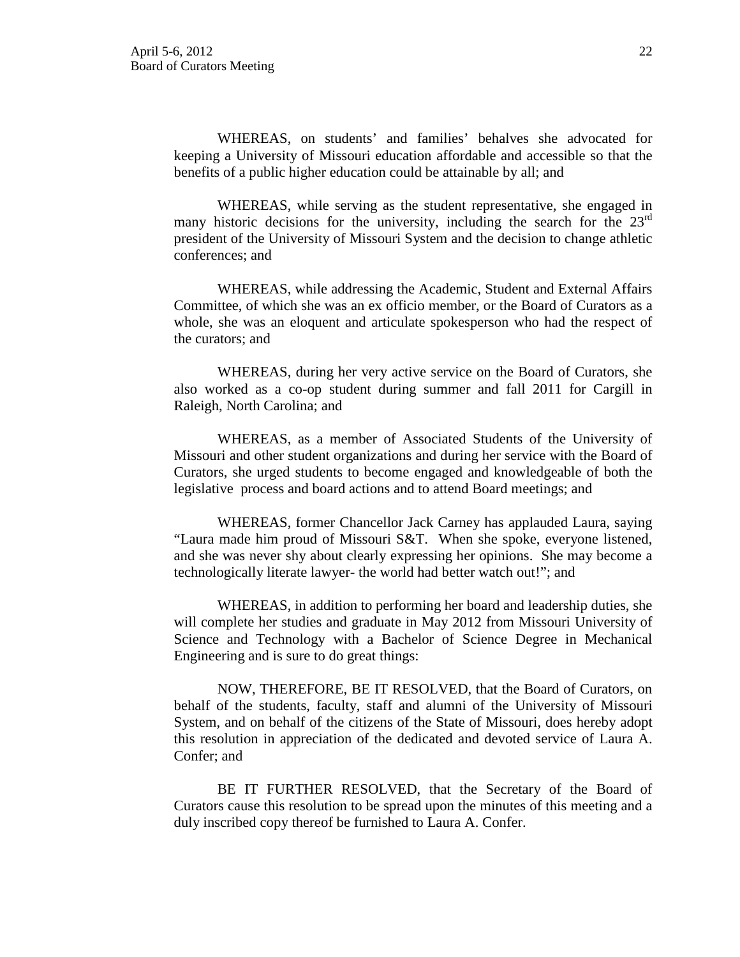WHEREAS, on students' and families' behalves she advocated for keeping a University of Missouri education affordable and accessible so that the benefits of a public higher education could be attainable by all; and

WHEREAS, while serving as the student representative, she engaged in many historic decisions for the university, including the search for the  $23<sup>rd</sup>$ president of the University of Missouri System and the decision to change athletic conferences; and

WHEREAS, while addressing the Academic, Student and External Affairs Committee, of which she was an ex officio member, or the Board of Curators as a whole, she was an eloquent and articulate spokesperson who had the respect of the curators; and

WHEREAS, during her very active service on the Board of Curators, she also worked as a co-op student during summer and fall 2011 for Cargill in Raleigh, North Carolina; and

WHEREAS, as a member of Associated Students of the University of Missouri and other student organizations and during her service with the Board of Curators, she urged students to become engaged and knowledgeable of both the legislative process and board actions and to attend Board meetings; and

WHEREAS, former Chancellor Jack Carney has applauded Laura, saying "Laura made him proud of Missouri S&T. When she spoke, everyone listened, and she was never shy about clearly expressing her opinions. She may become a technologically literate lawyer- the world had better watch out!"; and

WHEREAS, in addition to performing her board and leadership duties, she will complete her studies and graduate in May 2012 from Missouri University of Science and Technology with a Bachelor of Science Degree in Mechanical Engineering and is sure to do great things:

NOW, THEREFORE, BE IT RESOLVED, that the Board of Curators, on behalf of the students, faculty, staff and alumni of the University of Missouri System, and on behalf of the citizens of the State of Missouri, does hereby adopt this resolution in appreciation of the dedicated and devoted service of Laura A. Confer; and

BE IT FURTHER RESOLVED, that the Secretary of the Board of Curators cause this resolution to be spread upon the minutes of this meeting and a duly inscribed copy thereof be furnished to Laura A. Confer.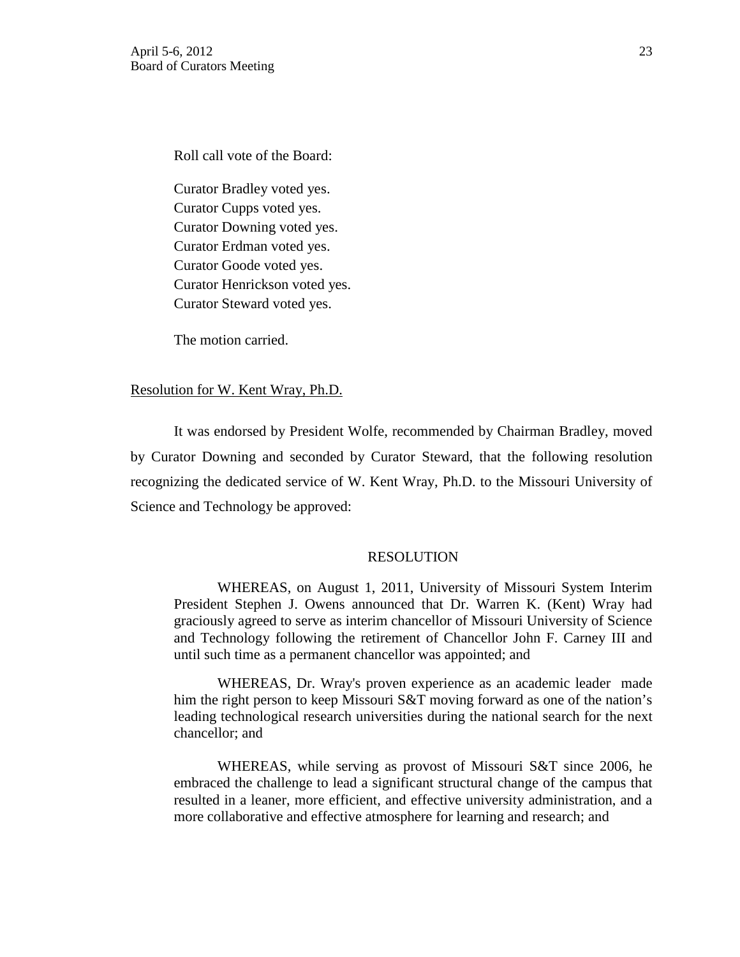Roll call vote of the Board:

Curator Bradley voted yes. Curator Cupps voted yes. Curator Downing voted yes. Curator Erdman voted yes. Curator Goode voted yes. Curator Henrickson voted yes. Curator Steward voted yes.

The motion carried.

#### Resolution for W. Kent Wray, Ph.D.

It was endorsed by President Wolfe, recommended by Chairman Bradley, moved by Curator Downing and seconded by Curator Steward, that the following resolution recognizing the dedicated service of W. Kent Wray, Ph.D. to the Missouri University of Science and Technology be approved:

### RESOLUTION

 WHEREAS, on August 1, 2011, University of Missouri System Interim President Stephen J. Owens announced that Dr. Warren K. (Kent) Wray had graciously agreed to serve as interim chancellor of Missouri University of Science and Technology following the retirement of Chancellor John F. Carney III and until such time as a permanent chancellor was appointed; and

WHEREAS, Dr. Wray's proven experience as an academic leader made him the right person to keep Missouri S&T moving forward as one of the nation's leading technological research universities during the national search for the next chancellor; and

WHEREAS, while serving as provost of Missouri S&T since 2006, he embraced the challenge to lead a significant structural change of the campus that resulted in a leaner, more efficient, and effective university administration, and a more collaborative and effective atmosphere for learning and research; and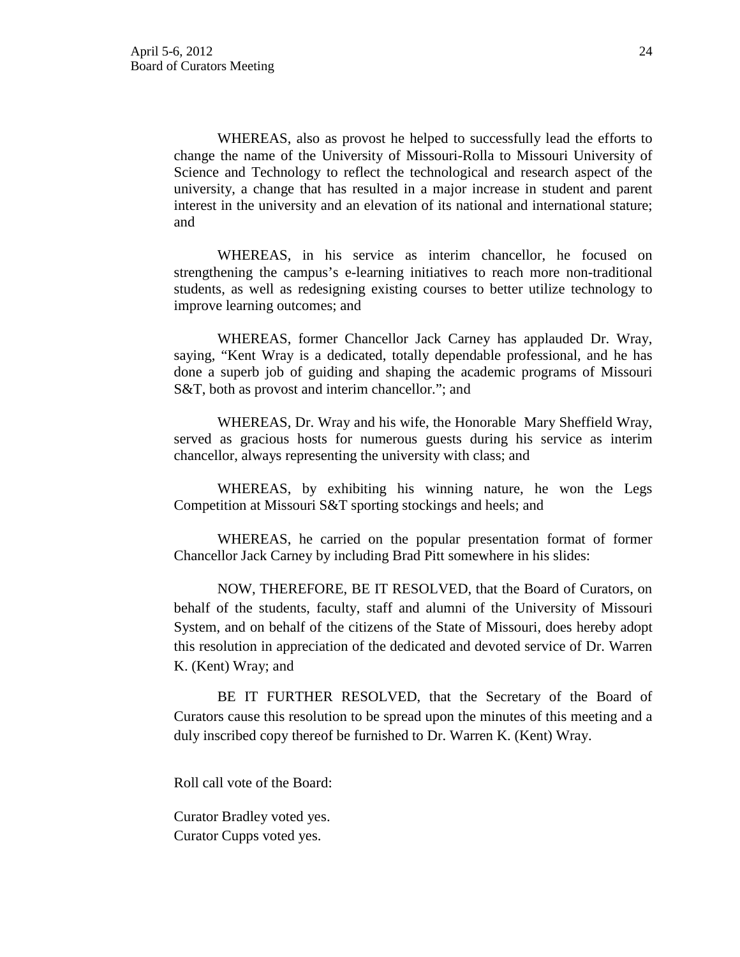WHEREAS, also as provost he helped to successfully lead the efforts to change the name of the University of Missouri-Rolla to Missouri University of Science and Technology to reflect the technological and research aspect of the university, a change that has resulted in a major increase in student and parent interest in the university and an elevation of its national and international stature; and

WHEREAS, in his service as interim chancellor, he focused on strengthening the campus's e-learning initiatives to reach more non-traditional students, as well as redesigning existing courses to better utilize technology to improve learning outcomes; and

WHEREAS, former Chancellor Jack Carney has applauded Dr. Wray, saying, "Kent Wray is a dedicated, totally dependable professional, and he has done a superb job of guiding and shaping the academic programs of Missouri S&T, both as provost and interim chancellor."; and

WHEREAS, Dr. Wray and his wife, the Honorable Mary Sheffield Wray, served as gracious hosts for numerous guests during his service as interim chancellor, always representing the university with class; and

WHEREAS, by exhibiting his winning nature, he won the Legs Competition at Missouri S&T sporting stockings and heels; and

WHEREAS, he carried on the popular presentation format of former Chancellor Jack Carney by including Brad Pitt somewhere in his slides:

NOW, THEREFORE, BE IT RESOLVED, that the Board of Curators, on behalf of the students, faculty, staff and alumni of the University of Missouri System, and on behalf of the citizens of the State of Missouri, does hereby adopt this resolution in appreciation of the dedicated and devoted service of Dr. Warren K. (Kent) Wray; and

BE IT FURTHER RESOLVED, that the Secretary of the Board of Curators cause this resolution to be spread upon the minutes of this meeting and a duly inscribed copy thereof be furnished to Dr. Warren K. (Kent) Wray.

Roll call vote of the Board:

Curator Bradley voted yes. Curator Cupps voted yes.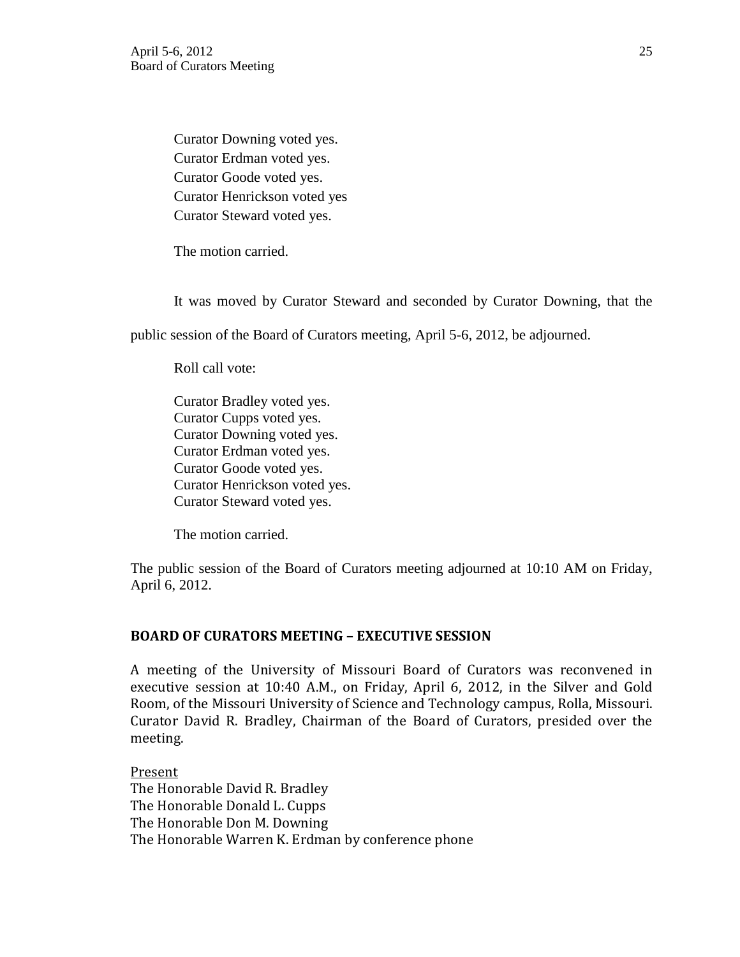Curator Downing voted yes. Curator Erdman voted yes. Curator Goode voted yes. Curator Henrickson voted yes Curator Steward voted yes.

The motion carried.

It was moved by Curator Steward and seconded by Curator Downing, that the

public session of the Board of Curators meeting, April 5-6, 2012, be adjourned.

Roll call vote:

Curator Bradley voted yes. Curator Cupps voted yes. Curator Downing voted yes. Curator Erdman voted yes. Curator Goode voted yes. Curator Henrickson voted yes. Curator Steward voted yes.

The motion carried.

The public session of the Board of Curators meeting adjourned at 10:10 AM on Friday, April 6, 2012.

## **BOARD OF CURATORS MEETING – EXECUTIVE SESSION**

A meeting of the University of Missouri Board of Curators was reconvened in executive session at 10:40 A.M., on Friday, April 6, 2012, in the Silver and Gold Room, of the Missouri University of Science and Technology campus, Rolla, Missouri. Curator David R. Bradley, Chairman of the Board of Curators, presided over the meeting.

Present The Honorable David R. Bradley The Honorable Donald L. Cupps The Honorable Don M. Downing The Honorable Warren K. Erdman by conference phone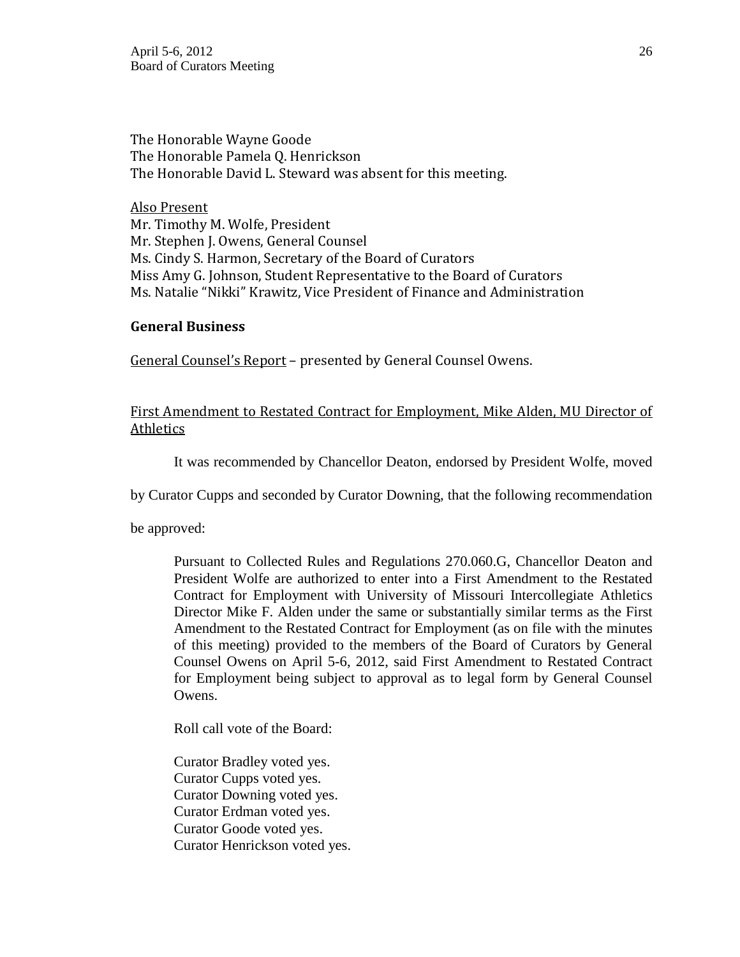The Honorable Wayne Goode The Honorable Pamela Q. Henrickson The Honorable David L. Steward was absent for this meeting.

Also Present Mr. Timothy M. Wolfe, President Mr. Stephen J. Owens, General Counsel Ms. Cindy S. Harmon, Secretary of the Board of Curators Miss Amy G. Johnson, Student Representative to the Board of Curators Ms. Natalie "Nikki" Krawitz, Vice President of Finance and Administration

## **General Business**

General Counsel's Report - presented by General Counsel Owens.

# First Amendment to Restated Contract for Employment, Mike Alden, MU Director of Athletics

It was recommended by Chancellor Deaton, endorsed by President Wolfe, moved

by Curator Cupps and seconded by Curator Downing, that the following recommendation

be approved:

Pursuant to Collected Rules and Regulations 270.060.G, Chancellor Deaton and President Wolfe are authorized to enter into a First Amendment to the Restated Contract for Employment with University of Missouri Intercollegiate Athletics Director Mike F. Alden under the same or substantially similar terms as the First Amendment to the Restated Contract for Employment (as on file with the minutes of this meeting) provided to the members of the Board of Curators by General Counsel Owens on April 5-6, 2012, said First Amendment to Restated Contract for Employment being subject to approval as to legal form by General Counsel Owens.

Roll call vote of the Board:

Curator Bradley voted yes. Curator Cupps voted yes. Curator Downing voted yes. Curator Erdman voted yes. Curator Goode voted yes. Curator Henrickson voted yes.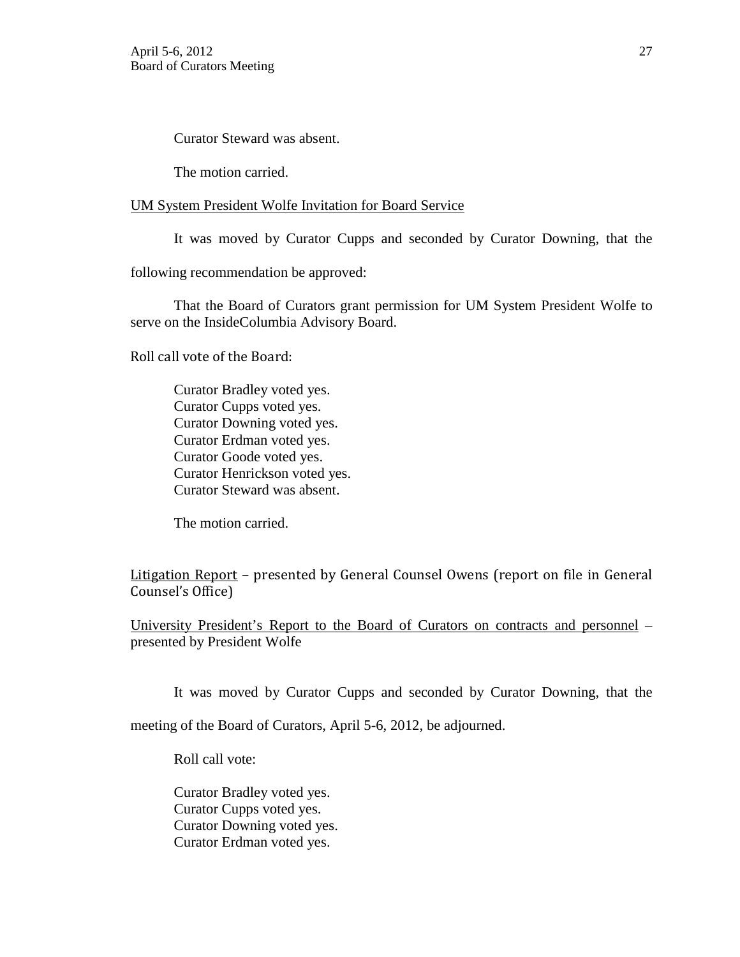Curator Steward was absent.

The motion carried.

### UM System President Wolfe Invitation for Board Service

It was moved by Curator Cupps and seconded by Curator Downing, that the

following recommendation be approved:

That the Board of Curators grant permission for UM System President Wolfe to serve on the InsideColumbia Advisory Board.

Roll call vote of the Board:

Curator Bradley voted yes. Curator Cupps voted yes. Curator Downing voted yes. Curator Erdman voted yes. Curator Goode voted yes. Curator Henrickson voted yes. Curator Steward was absent.

The motion carried.

Litigation Report – presented by General Counsel Owens (report on file in General Counsel's Office)

University President's Report to the Board of Curators on contracts and personnel – presented by President Wolfe

It was moved by Curator Cupps and seconded by Curator Downing, that the

meeting of the Board of Curators, April 5-6, 2012, be adjourned.

Roll call vote:

Curator Bradley voted yes. Curator Cupps voted yes. Curator Downing voted yes. Curator Erdman voted yes.